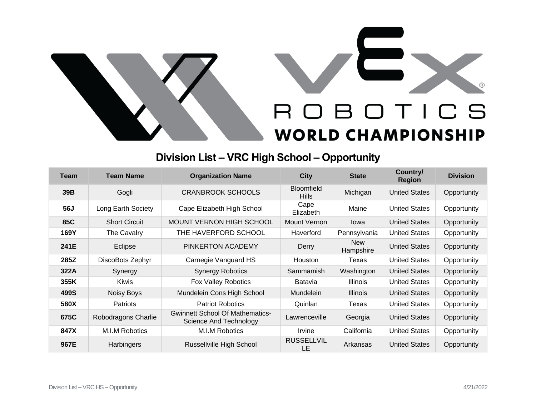



## **Division List – VRC High School – Opportunity**

| Team | <b>Team Name</b>     | <b>Organization Name</b>                                         | <b>City</b>                       | <b>State</b>            | Country/<br><b>Region</b> | <b>Division</b> |
|------|----------------------|------------------------------------------------------------------|-----------------------------------|-------------------------|---------------------------|-----------------|
| 39B  | Gogli                | <b>CRANBROOK SCHOOLS</b>                                         | <b>Bloomfield</b><br><b>Hills</b> | Michigan                | <b>United States</b>      | Opportunity     |
| 56J  | Long Earth Society   | Cape Elizabeth High School                                       | Cape<br>Elizabeth                 | Maine                   | <b>United States</b>      | Opportunity     |
| 85C  | <b>Short Circuit</b> | MOUNT VERNON HIGH SCHOOL                                         | Mount Vernon                      | lowa                    | <b>United States</b>      | Opportunity     |
| 169Y | The Cavalry          | THE HAVERFORD SCHOOL                                             | Haverford                         | Pennsylvania            | <b>United States</b>      | Opportunity     |
| 241E | Eclipse              | PINKERTON ACADEMY                                                | Derry                             | <b>New</b><br>Hampshire | <b>United States</b>      | Opportunity     |
| 285Z | DiscoBots Zephyr     | Carnegie Vanguard HS                                             | <b>Houston</b>                    | Texas                   | <b>United States</b>      | Opportunity     |
| 322A | Synergy              | <b>Synergy Robotics</b>                                          | Sammamish                         | Washington              | <b>United States</b>      | Opportunity     |
| 355K | <b>Kiwis</b>         | <b>Fox Valley Robotics</b>                                       | Batavia                           | <b>Illinois</b>         | <b>United States</b>      | Opportunity     |
| 499S | Noisy Boys           | Mundelein Cons High School                                       | Mundelein                         | <b>Illinois</b>         | <b>United States</b>      | Opportunity     |
| 580X | <b>Patriots</b>      | <b>Patriot Robotics</b>                                          | Quinlan                           | Texas                   | <b>United States</b>      | Opportunity     |
| 675C | Robodragons Charlie  | <b>Gwinnett School Of Mathematics-</b><br>Science And Technology | Lawrenceville                     | Georgia                 | <b>United States</b>      | Opportunity     |
| 847X | M.I.M Robotics       | M.I.M Robotics                                                   | Irvine                            | California              | <b>United States</b>      | Opportunity     |
| 967E | <b>Harbingers</b>    | <b>Russellville High School</b>                                  | <b>RUSSELLVIL</b><br>LE           | Arkansas                | <b>United States</b>      | Opportunity     |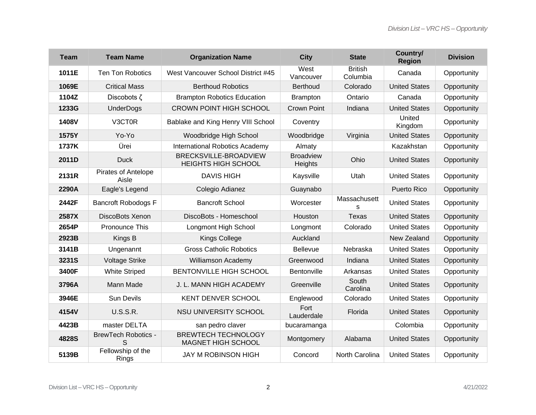| <b>Team</b> | <b>Team Name</b>                    | <b>Organization Name</b>                                | <b>City</b>                 | <b>State</b>               | Country/<br><b>Region</b> | <b>Division</b> |
|-------------|-------------------------------------|---------------------------------------------------------|-----------------------------|----------------------------|---------------------------|-----------------|
| 1011E       | <b>Ten Ton Robotics</b>             | West Vancouver School District #45                      | West<br>Vancouver           | <b>British</b><br>Columbia | Canada                    | Opportunity     |
| 1069E       | <b>Critical Mass</b>                | <b>Berthoud Robotics</b>                                | <b>Berthoud</b>             | Colorado                   | <b>United States</b>      | Opportunity     |
| 1104Z       | Discobots $\zeta$                   | <b>Brampton Robotics Education</b>                      | <b>Brampton</b>             | Ontario                    | Canada                    | Opportunity     |
| 1233G       | <b>UnderDogs</b>                    | <b>CROWN POINT HIGH SCHOOL</b>                          | <b>Crown Point</b>          | Indiana                    | <b>United States</b>      | Opportunity     |
| 1408V       | V3CT0R                              | Bablake and King Henry VIII School                      | Coventry                    |                            | United<br>Kingdom         | Opportunity     |
| 1575Y       | Yo-Yo                               | Woodbridge High School                                  | Woodbridge                  | Virginia                   | <b>United States</b>      | Opportunity     |
| 1737K       | Ürei                                | International Robotics Academy                          | Almaty                      |                            | Kazakhstan                | Opportunity     |
| 2011D       | <b>Duck</b>                         | BRECKSVILLE-BROADVIEW<br><b>HEIGHTS HIGH SCHOOL</b>     | <b>Broadview</b><br>Heights | Ohio                       | <b>United States</b>      | Opportunity     |
| 2131R       | <b>Pirates of Antelope</b><br>Aisle | <b>DAVIS HIGH</b>                                       | Kaysville                   | Utah                       | <b>United States</b>      | Opportunity     |
| 2290A       | Eagle's Legend                      | Colegio Adianez                                         | Guaynabo                    |                            | Puerto Rico               | Opportunity     |
| 2442F       | <b>Bancroft Robodogs F</b>          | <b>Bancroft School</b>                                  | Worcester                   | Massachusett<br>S          | <b>United States</b>      | Opportunity     |
| 2587X       | DiscoBots Xenon                     | DiscoBots - Homeschool                                  | Houston                     | <b>Texas</b>               | <b>United States</b>      | Opportunity     |
| 2654P       | Pronounce This                      | Longmont High School                                    | Longmont                    | Colorado                   | <b>United States</b>      | Opportunity     |
| 2923B       | Kings B                             | <b>Kings College</b>                                    | Auckland                    |                            | New Zealand               | Opportunity     |
| 3141B       | Ungenannt                           | <b>Gross Catholic Robotics</b>                          | Bellevue                    | Nebraska                   | <b>United States</b>      | Opportunity     |
| 3231S       | <b>Voltage Strike</b>               | <b>Williamson Academy</b>                               | Greenwood                   | Indiana                    | <b>United States</b>      | Opportunity     |
| 3400F       | <b>White Striped</b>                | <b>BENTONVILLE HIGH SCHOOL</b>                          | Bentonville                 | Arkansas                   | <b>United States</b>      | Opportunity     |
| 3796A       | Mann Made                           | J. L. MANN HIGH ACADEMY                                 | Greenville                  | South<br>Carolina          | <b>United States</b>      | Opportunity     |
| 3946E       | <b>Sun Devils</b>                   | <b>KENT DENVER SCHOOL</b>                               | Englewood                   | Colorado                   | <b>United States</b>      | Opportunity     |
| 4154V       | <b>U.S.S.R.</b>                     | <b>NSU UNIVERSITY SCHOOL</b>                            | Fort<br>Lauderdale          | Florida                    | <b>United States</b>      | Opportunity     |
| 4423B       | master DELTA                        | san pedro claver                                        | bucaramanga                 |                            | Colombia                  | Opportunity     |
| 4828S       | <b>BrewTech Robotics -</b><br>S     | <b>BREWTECH TECHNOLOGY</b><br><b>MAGNET HIGH SCHOOL</b> | Montgomery                  | Alabama                    | <b>United States</b>      | Opportunity     |
| 5139B       | Fellowship of the<br>Rings          | <b>JAY M ROBINSON HIGH</b>                              | Concord                     | North Carolina             | <b>United States</b>      | Opportunity     |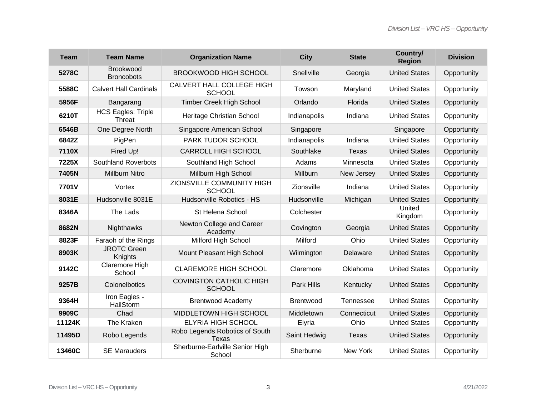| <b>Team</b> | <b>Team Name</b>                           | <b>Organization Name</b>                        | <b>City</b>      | <b>State</b> | Country/<br><b>Region</b> | <b>Division</b> |
|-------------|--------------------------------------------|-------------------------------------------------|------------------|--------------|---------------------------|-----------------|
| 5278C       | <b>Brookwood</b><br><b>Broncobots</b>      | <b>BROOKWOOD HIGH SCHOOL</b>                    | Snellville       | Georgia      | <b>United States</b>      | Opportunity     |
| 5588C       | <b>Calvert Hall Cardinals</b>              | CALVERT HALL COLLEGE HIGH<br><b>SCHOOL</b>      | Towson           | Maryland     | <b>United States</b>      | Opportunity     |
| 5956F       | Bangarang                                  | <b>Timber Creek High School</b>                 | Orlando          | Florida      | <b>United States</b>      | Opportunity     |
| 6210T       | <b>HCS Eagles: Triple</b><br><b>Threat</b> | Heritage Christian School                       | Indianapolis     | Indiana      | <b>United States</b>      | Opportunity     |
| 6546B       | One Degree North                           | Singapore American School                       | Singapore        |              | Singapore                 | Opportunity     |
| 6842Z       | PigPen                                     | PARK TUDOR SCHOOL                               | Indianapolis     | Indiana      | <b>United States</b>      | Opportunity     |
| 7110X       | Fired Up!                                  | <b>CARROLL HIGH SCHOOL</b>                      | Southlake        | Texas        | <b>United States</b>      | Opportunity     |
| 7225X       | <b>Southland Roverbots</b>                 | Southland High School                           | Adams            | Minnesota    | <b>United States</b>      | Opportunity     |
| 7405N       | <b>Millburn Nitro</b>                      | Millburn High School                            | Millburn         | New Jersey   | <b>United States</b>      | Opportunity     |
| 7701V       | Vortex                                     | ZIONSVILLE COMMUNITY HIGH<br><b>SCHOOL</b>      | Zionsville       | Indiana      | <b>United States</b>      | Opportunity     |
| 8031E       | Hudsonville 8031E                          | Hudsonville Robotics - HS                       | Hudsonville      | Michigan     | <b>United States</b>      | Opportunity     |
| 8346A       | The Lads                                   | St Helena School                                | Colchester       |              | United<br>Kingdom         | Opportunity     |
| 8682N       | Nighthawks                                 | Newton College and Career<br>Academy            | Covington        | Georgia      | <b>United States</b>      | Opportunity     |
| 8823F       | Faraoh of the Rings                        | Milford High School                             | Milford          | Ohio         | <b>United States</b>      | Opportunity     |
| 8903K       | <b>JROTC Green</b><br>Knights              | Mount Pleasant High School                      | Wilmington       | Delaware     | <b>United States</b>      | Opportunity     |
| 9142C       | Claremore High<br>School                   | <b>CLAREMORE HIGH SCHOOL</b>                    | Claremore        | Oklahoma     | <b>United States</b>      | Opportunity     |
| 9257B       | Colonelbotics                              | <b>COVINGTON CATHOLIC HIGH</b><br><b>SCHOOL</b> | Park Hills       | Kentucky     | <b>United States</b>      | Opportunity     |
| 9364H       | Iron Eagles -<br>HailStorm                 | <b>Brentwood Academy</b>                        | <b>Brentwood</b> | Tennessee    | <b>United States</b>      | Opportunity     |
| 9909C       | Chad                                       | MIDDLETOWN HIGH SCHOOL                          | Middletown       | Connecticut  | <b>United States</b>      | Opportunity     |
| 11124K      | The Kraken                                 | <b>ELYRIA HIGH SCHOOL</b>                       | Elyria           | Ohio         | <b>United States</b>      | Opportunity     |
| 11495D      | Robo Legends                               | Robo Legends Robotics of South<br><b>Texas</b>  | Saint Hedwig     | <b>Texas</b> | <b>United States</b>      | Opportunity     |
| 13460C      | <b>SE Marauders</b>                        | Sherburne-Earlville Senior High<br>School       | Sherburne        | New York     | <b>United States</b>      | Opportunity     |